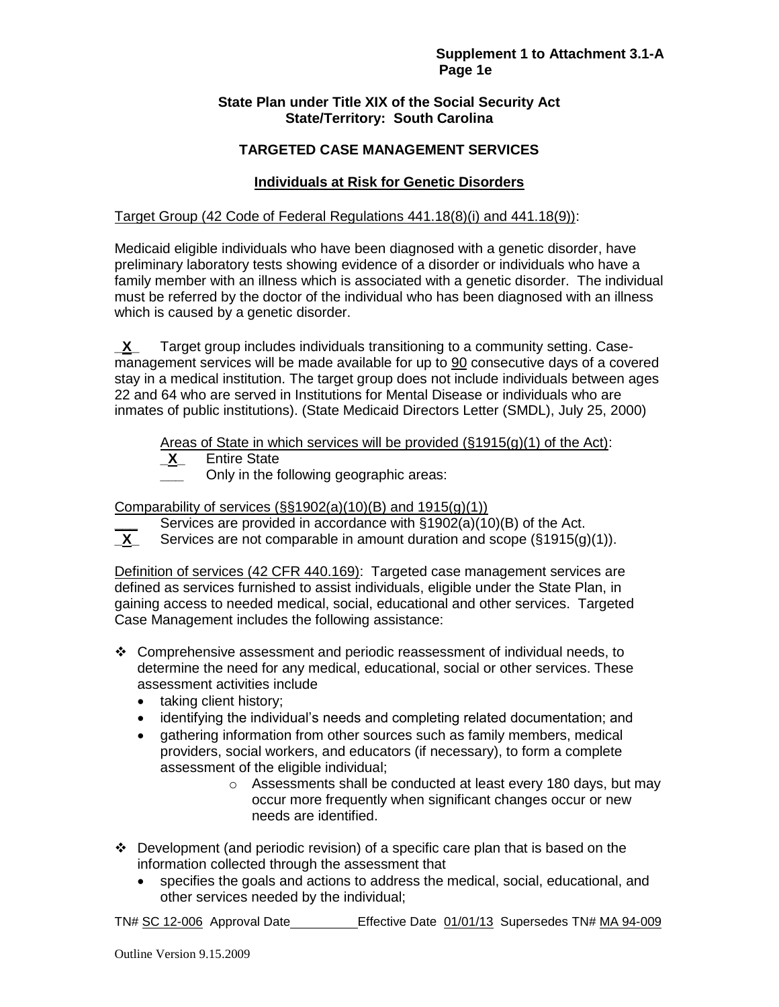## **State Plan under Title XIX of the Social Security Act State/Territory: South Carolina**

# **TARGETED CASE MANAGEMENT SERVICES**

# **Individuals at Risk for Genetic Disorders**

## Target Group (42 Code of Federal Regulations 441.18(8)(i) and 441.18(9)):

Medicaid eligible individuals who have been diagnosed with a genetic disorder, have preliminary laboratory tests showing evidence of a disorder or individuals who have a family member with an illness which is associated with a genetic disorder. The individual must be referred by the doctor of the individual who has been diagnosed with an illness which is caused by a genetic disorder.

**\_X\_** Target group includes individuals transitioning to a community setting. Casemanagement services will be made available for up to 90 consecutive days of a covered stay in a medical institution. The target group does not include individuals between ages 22 and 64 who are served in Institutions for Mental Disease or individuals who are inmates of public institutions). (State Medicaid Directors Letter (SMDL), July 25, 2000)

Areas of State in which services will be provided  $(\S1915(g)(1)$  of the Act):

- **\_X\_** Entire State
- **\_\_\_** Only in the following geographic areas:

Comparability of services (§§1902(a)(10)(B) and 1915(g)(1))

- Services are provided in accordance with §1902(a)(10)(B) of the Act.
- **\_X\_** Services are not comparable in amount duration and scope (§1915(g)(1)).

Definition of services (42 CFR 440.169): Targeted case management services are defined as services furnished to assist individuals, eligible under the State Plan, in gaining access to needed medical, social, educational and other services. Targeted Case Management includes the following assistance:

- Comprehensive assessment and periodic reassessment of individual needs, to determine the need for any medical, educational, social or other services. These assessment activities include
	- taking client history:
	- identifying the individual's needs and completing related documentation; and
	- gathering information from other sources such as family members, medical providers, social workers, and educators (if necessary), to form a complete assessment of the eligible individual;
		- o Assessments shall be conducted at least every 180 days, but may occur more frequently when significant changes occur or new needs are identified.
- $\div$  Development (and periodic revision) of a specific care plan that is based on the information collected through the assessment that
	- specifies the goals and actions to address the medical, social, educational, and other services needed by the individual;

TN# SC 12-006 Approval Date Effective Date 01/01/13 Supersedes TN# MA 94-009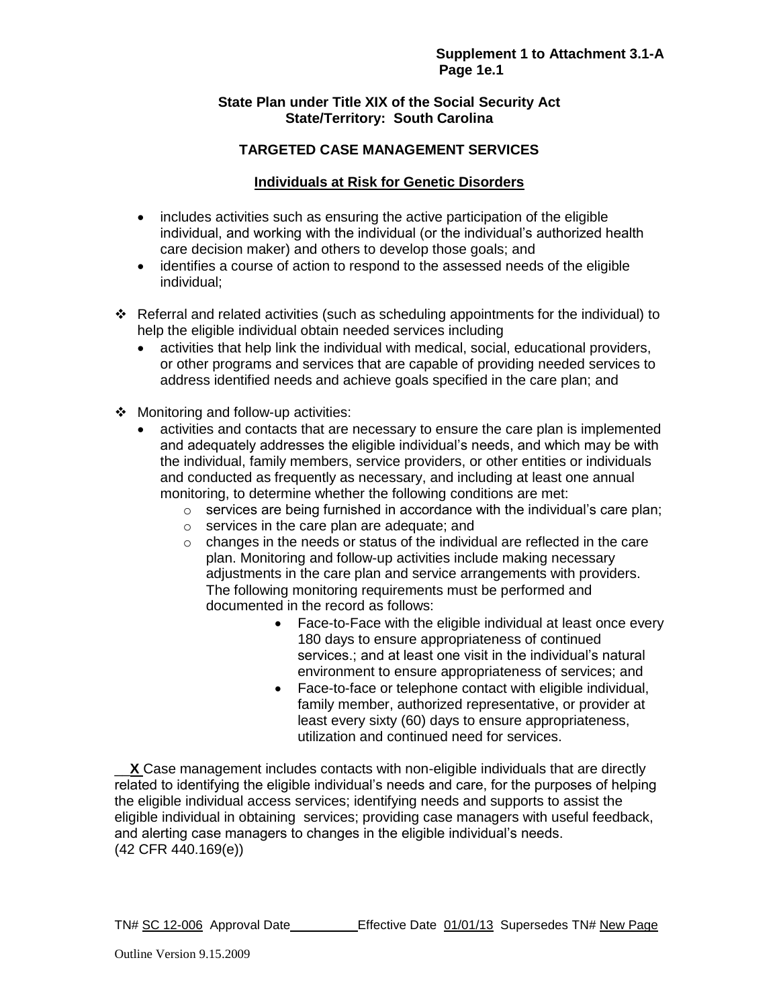## **State Plan under Title XIX of the Social Security Act State/Territory: South Carolina**

# **TARGETED CASE MANAGEMENT SERVICES**

## **Individuals at Risk for Genetic Disorders**

- includes activities such as ensuring the active participation of the eligible individual, and working with the individual (or the individual's authorized health care decision maker) and others to develop those goals; and
- identifies a course of action to respond to the assessed needs of the eligible individual;
- Referral and related activities (such as scheduling appointments for the individual) to help the eligible individual obtain needed services including
	- activities that help link the individual with medical, social, educational providers, or other programs and services that are capable of providing needed services to address identified needs and achieve goals specified in the care plan; and
- ❖ Monitoring and follow-up activities:
	- activities and contacts that are necessary to ensure the care plan is implemented and adequately addresses the eligible individual's needs, and which may be with the individual, family members, service providers, or other entities or individuals and conducted as frequently as necessary, and including at least one annual monitoring, to determine whether the following conditions are met:
		- $\circ$  services are being furnished in accordance with the individual's care plan;
		- o services in the care plan are adequate; and
		- o changes in the needs or status of the individual are reflected in the care plan. Monitoring and follow-up activities include making necessary adjustments in the care plan and service arrangements with providers. The following monitoring requirements must be performed and documented in the record as follows:
			- Face-to-Face with the eligible individual at least once every 180 days to ensure appropriateness of continued services.; and at least one visit in the individual's natural environment to ensure appropriateness of services; and
			- Face-to-face or telephone contact with eligible individual, family member, authorized representative, or provider at least every sixty (60) days to ensure appropriateness, utilization and continued need for services.

**X** Case management includes contacts with non-eligible individuals that are directly related to identifying the eligible individual's needs and care, for the purposes of helping the eligible individual access services; identifying needs and supports to assist the eligible individual in obtaining services; providing case managers with useful feedback, and alerting case managers to changes in the eligible individual's needs. (42 CFR 440.169(e))

TN# SC 12-006 Approval Date Effective Date 01/01/13 Supersedes TN# New Page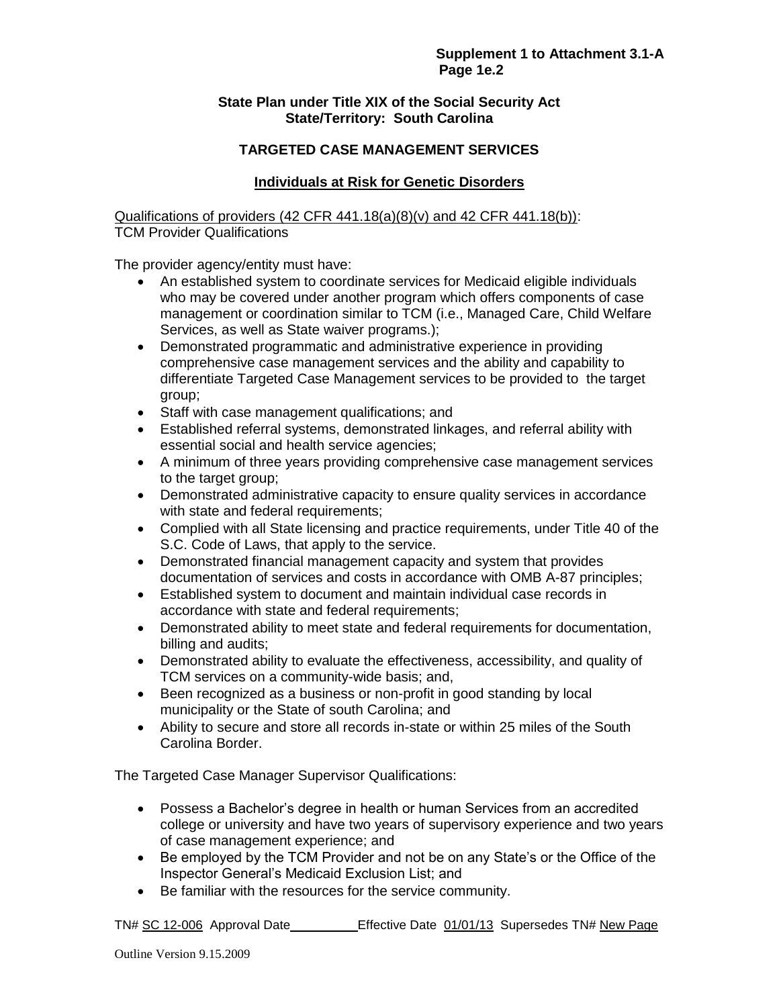## **State Plan under Title XIX of the Social Security Act State/Territory: South Carolina**

# **TARGETED CASE MANAGEMENT SERVICES**

## **Individuals at Risk for Genetic Disorders**

Qualifications of providers (42 CFR 441.18(a)(8)(v) and 42 CFR 441.18(b)): TCM Provider Qualifications

The provider agency/entity must have:

- An established system to coordinate services for Medicaid eligible individuals who may be covered under another program which offers components of case management or coordination similar to TCM (i.e., Managed Care, Child Welfare Services, as well as State waiver programs.);
- Demonstrated programmatic and administrative experience in providing comprehensive case management services and the ability and capability to differentiate Targeted Case Management services to be provided to the target group;
- Staff with case management qualifications; and
- Established referral systems, demonstrated linkages, and referral ability with essential social and health service agencies;
- A minimum of three years providing comprehensive case management services to the target group;
- Demonstrated administrative capacity to ensure quality services in accordance with state and federal requirements;
- Complied with all State licensing and practice requirements, under Title 40 of the S.C. Code of Laws, that apply to the service.
- Demonstrated financial management capacity and system that provides documentation of services and costs in accordance with OMB A-87 principles;
- Established system to document and maintain individual case records in accordance with state and federal requirements;
- Demonstrated ability to meet state and federal requirements for documentation, billing and audits;
- Demonstrated ability to evaluate the effectiveness, accessibility, and quality of TCM services on a community-wide basis; and,
- Been recognized as a business or non-profit in good standing by local municipality or the State of south Carolina; and
- Ability to secure and store all records in-state or within 25 miles of the South Carolina Border.

The Targeted Case Manager Supervisor Qualifications:

- Possess a Bachelor's degree in health or human Services from an accredited college or university and have two years of supervisory experience and two years of case management experience; and
- Be employed by the TCM Provider and not be on any State's or the Office of the Inspector General's Medicaid Exclusion List; and
- Be familiar with the resources for the service community.

TN# SC 12-006 Approval Date Effective Date 01/01/13 Supersedes TN# New Page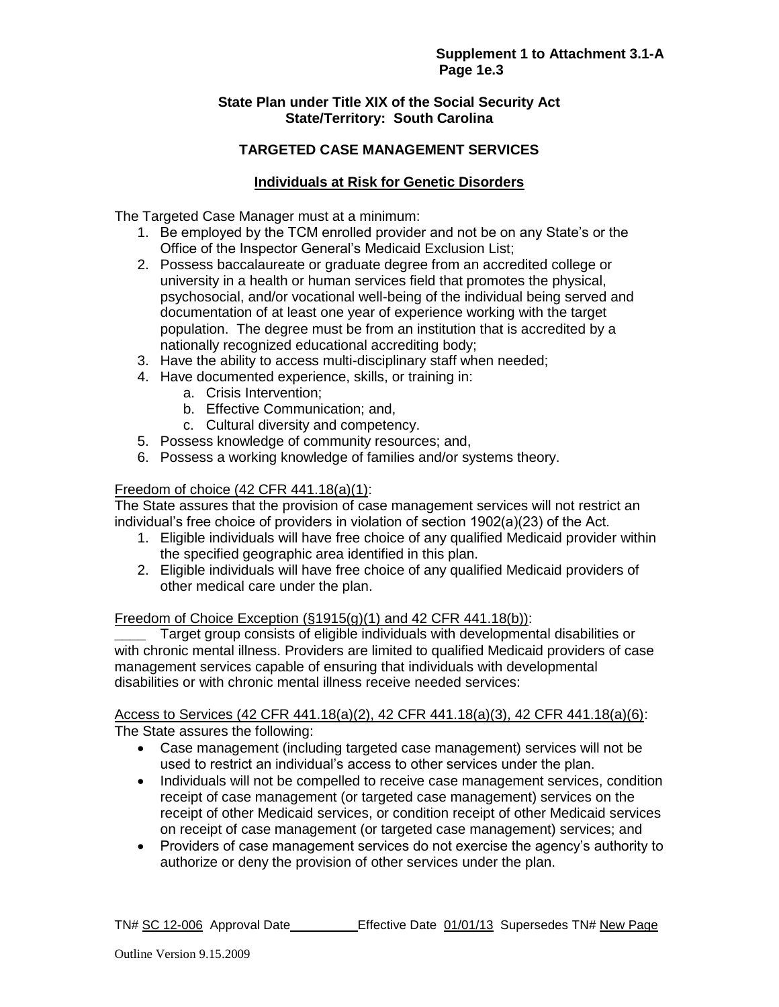## **State Plan under Title XIX of the Social Security Act State/Territory: South Carolina**

# **TARGETED CASE MANAGEMENT SERVICES**

# **Individuals at Risk for Genetic Disorders**

The Targeted Case Manager must at a minimum:

- 1. Be employed by the TCM enrolled provider and not be on any State's or the Office of the Inspector General's Medicaid Exclusion List;
- 2. Possess baccalaureate or graduate degree from an accredited college or university in a health or human services field that promotes the physical, psychosocial, and/or vocational well-being of the individual being served and documentation of at least one year of experience working with the target population. The degree must be from an institution that is accredited by a nationally recognized educational accrediting body;
- 3. Have the ability to access multi-disciplinary staff when needed;
- 4. Have documented experience, skills, or training in:
	- a. Crisis Intervention;
		- b. Effective Communication; and,
		- c. Cultural diversity and competency.
- 5. Possess knowledge of community resources; and,
- 6. Possess a working knowledge of families and/or systems theory.

# Freedom of choice (42 CFR 441.18(a)(1):

The State assures that the provision of case management services will not restrict an individual's free choice of providers in violation of section 1902(a)(23) of the Act.

- 1. Eligible individuals will have free choice of any qualified Medicaid provider within the specified geographic area identified in this plan.
- 2. Eligible individuals will have free choice of any qualified Medicaid providers of other medical care under the plan.

#### Freedom of Choice Exception  $(\S1915(g)(1)$  and 42 CFR 441.18(b)):

**\_\_\_\_** Target group consists of eligible individuals with developmental disabilities or with chronic mental illness. Providers are limited to qualified Medicaid providers of case management services capable of ensuring that individuals with developmental disabilities or with chronic mental illness receive needed services:

Access to Services (42 CFR 441.18(a)(2), 42 CFR 441.18(a)(3), 42 CFR 441.18(a)(6): The State assures the following:

- Case management (including targeted case management) services will not be used to restrict an individual's access to other services under the plan.
- Individuals will not be compelled to receive case management services, condition receipt of case management (or targeted case management) services on the receipt of other Medicaid services, or condition receipt of other Medicaid services on receipt of case management (or targeted case management) services; and
- Providers of case management services do not exercise the agency's authority to authorize or deny the provision of other services under the plan.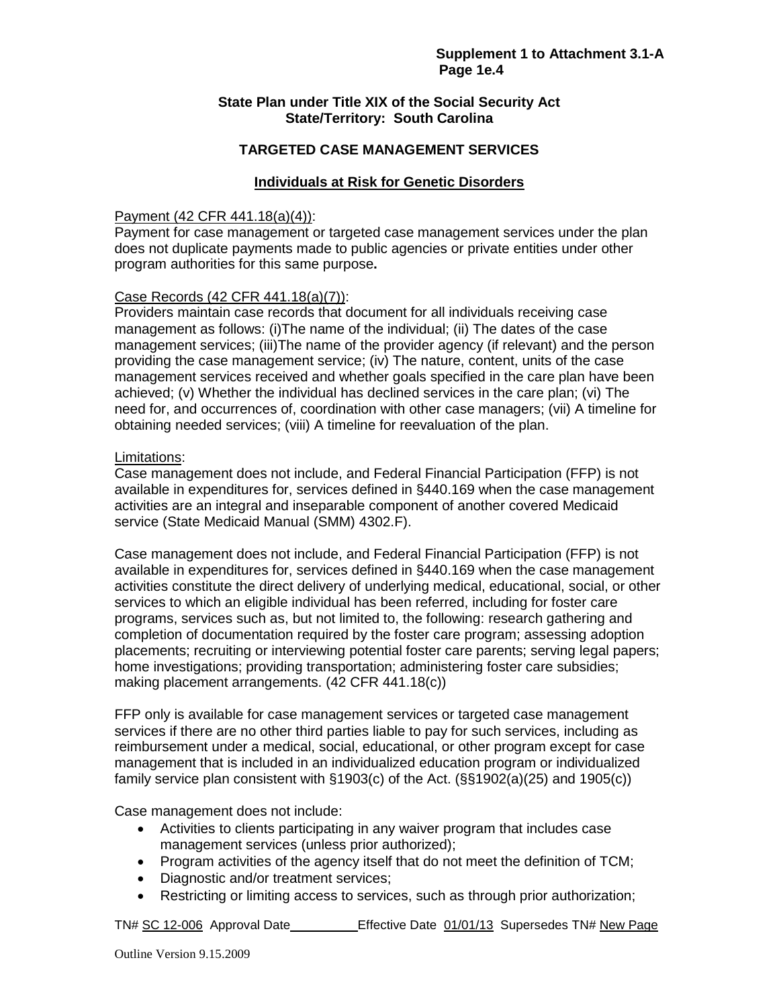## **State Plan under Title XIX of the Social Security Act State/Territory: South Carolina**

## **TARGETED CASE MANAGEMENT SERVICES**

## **Individuals at Risk for Genetic Disorders**

#### Payment (42 CFR 441.18(a)(4)):

Payment for case management or targeted case management services under the plan does not duplicate payments made to public agencies or private entities under other program authorities for this same purpose**.** 

#### Case Records (42 CFR 441.18(a)(7)):

Providers maintain case records that document for all individuals receiving case management as follows: (i)The name of the individual; (ii) The dates of the case management services; (iii)The name of the provider agency (if relevant) and the person providing the case management service; (iv) The nature, content, units of the case management services received and whether goals specified in the care plan have been achieved; (v) Whether the individual has declined services in the care plan; (vi) The need for, and occurrences of, coordination with other case managers; (vii) A timeline for obtaining needed services; (viii) A timeline for reevaluation of the plan.

#### Limitations:

Case management does not include, and Federal Financial Participation (FFP) is not available in expenditures for, services defined in §440.169 when the case management activities are an integral and inseparable component of another covered Medicaid service (State Medicaid Manual (SMM) 4302.F).

Case management does not include, and Federal Financial Participation (FFP) is not available in expenditures for, services defined in §440.169 when the case management activities constitute the direct delivery of underlying medical, educational, social, or other services to which an eligible individual has been referred, including for foster care programs, services such as, but not limited to, the following: research gathering and completion of documentation required by the foster care program; assessing adoption placements; recruiting or interviewing potential foster care parents; serving legal papers; home investigations; providing transportation; administering foster care subsidies; making placement arrangements. (42 CFR 441.18(c))

FFP only is available for case management services or targeted case management services if there are no other third parties liable to pay for such services, including as reimbursement under a medical, social, educational, or other program except for case management that is included in an individualized education program or individualized family service plan consistent with §1903(c) of the Act. (§§1902(a)(25) and 1905(c))

Case management does not include:

- Activities to clients participating in any waiver program that includes case management services (unless prior authorized);
- Program activities of the agency itself that do not meet the definition of TCM;
- Diagnostic and/or treatment services;
- Restricting or limiting access to services, such as through prior authorization;

TN# SC 12-006 Approval Date Effective Date 01/01/13 Supersedes TN# New Page